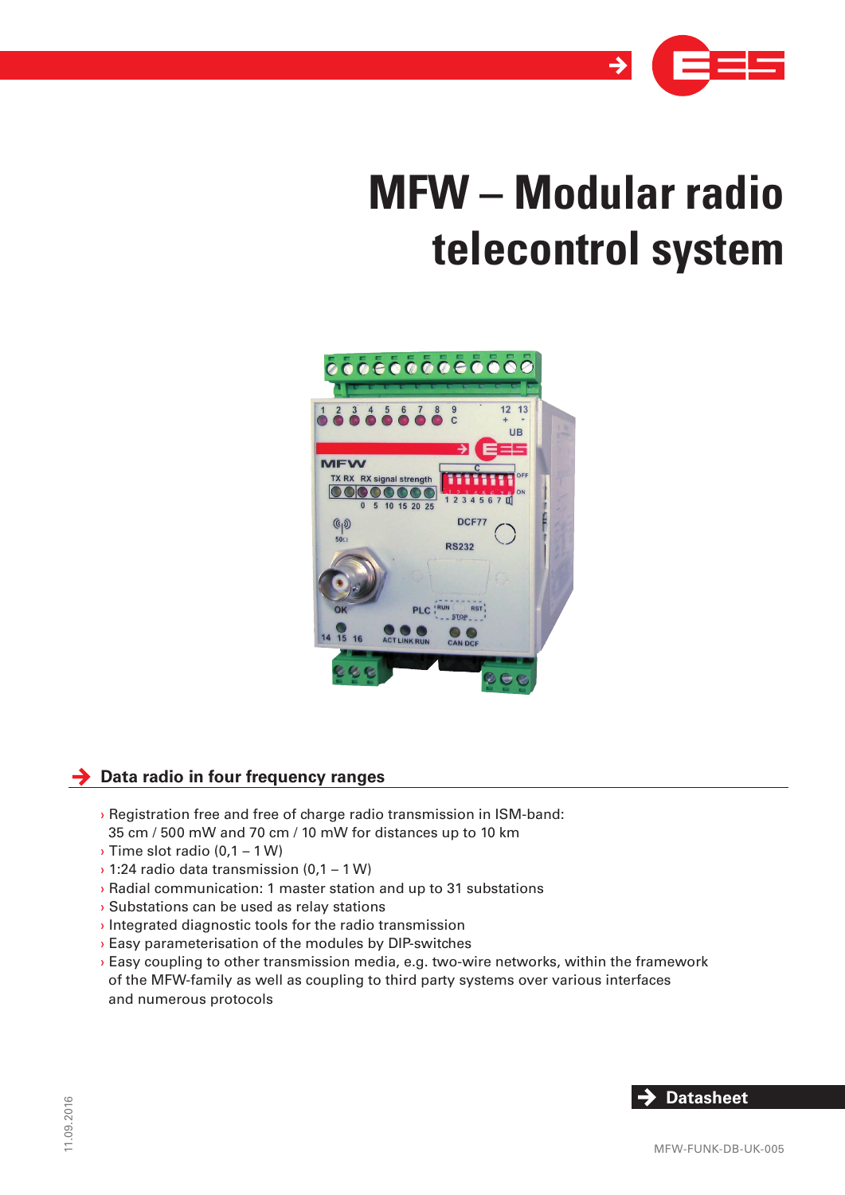

# **MFW – Modular radio telecontrol system**



# **→** Data radio in four frequency ranges

- › Registration free and free of charge radio transmission in ISM-band: 35 cm / 500 mW and 70 cm / 10 mW for distances up to 10 km
- › Time slot radio (0,1 1 W)
- › 1:24 radio data transmission (0,1 1 W)
- › Radial communication: 1 master station and up to 31 substations
- › Substations can be used as relay stations
- › Integrated diagnostic tools for the radio transmission
- › Easy parameterisation of the modules by DIP-switches
- › Easy coupling to other transmission media, e.g. two-wire networks, within the framework of the MFW-family as well as coupling to third party systems over various interfaces and numerous protocols

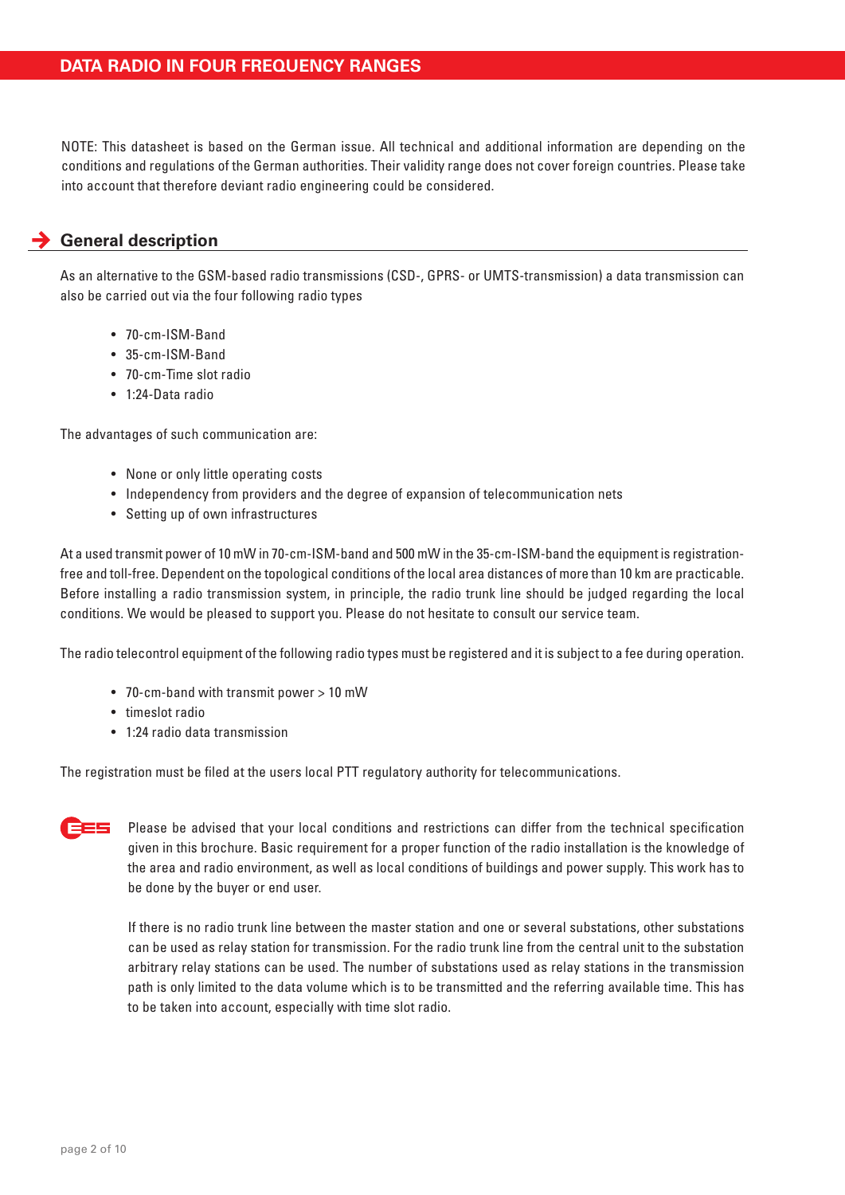NOTE: This datasheet is based on the German issue. All technical and additional information are depending on the conditions and regulations of the German authorities. Their validity range does not cover foreign countries. Please take into account that therefore deviant radio engineering could be considered.

# **General description**

As an alternative to the GSM-based radio transmissions (CSD-, GPRS- or UMTS-transmission) a data transmission can also be carried out via the four following radio types

- 70-cm-ISM-Band
- 35-cm-ISM-Band
- 70-cm-Time slot radio
- 1:24-Data radio

The advantages of such communication are:

- None or only little operating costs
- Independency from providers and the degree of expansion of telecommunication nets
- Setting up of own infrastructures

At a used transmit power of 10 mW in 70-cm-ISM-band and 500 mW in the 35-cm-ISM-band the equipment is registrationfree and toll-free. Dependent on the topological conditions of the local area distances of more than 10 km are practicable. Before installing a radio transmission system, in principle, the radio trunk line should be judged regarding the local conditions. We would be pleased to support you. Please do not hesitate to consult our service team.

The radio telecontrol equipment of the following radio types must be registered and it is subject to a fee during operation.

- 70-cm-band with transmit power > 10 mW
- timeslot radio
- 1:24 radio data transmission

The registration must be filed at the users local PTT regulatory authority for telecommunications.



Please be advised that your local conditions and restrictions can differ from the technical specification given in this brochure. Basic requirement for a proper function of the radio installation is the knowledge of the area and radio environment, as well as local conditions of buildings and power supply. This work has to be done by the buyer or end user.

If there is no radio trunk line between the master station and one or several substations, other substations can be used as relay station for transmission. For the radio trunk line from the central unit to the substation arbitrary relay stations can be used. The number of substations used as relay stations in the transmission path is only limited to the data volume which is to be transmitted and the referring available time. This has to be taken into account, especially with time slot radio.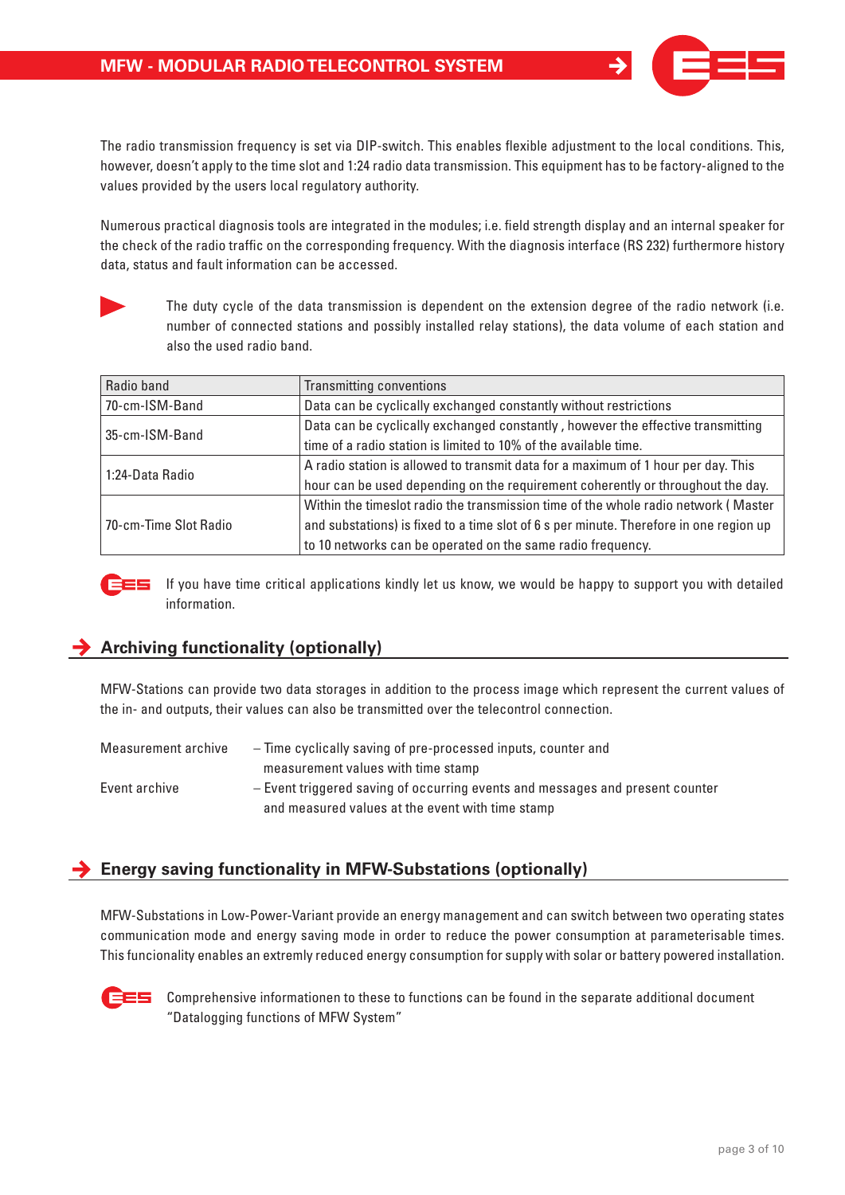

The radio transmission frequency is set via DIP-switch. This enables flexible adjustment to the local conditions. This, however, doesn't apply to the time slot and 1:24 radio data transmission. This equipment has to be factory-aligned to the values provided by the users local regulatory authority.

Numerous practical diagnosis tools are integrated in the modules; i.e. field strength display and an internal speaker for the check of the radio traffic on the corresponding frequency. With the diagnosis interface (RS 232) furthermore history data, status and fault information can be accessed.



The duty cycle of the data transmission is dependent on the extension degree of the radio network (i.e. number of connected stations and possibly installed relay stations), the data volume of each station and also the used radio band.

| Radio band            | <b>Transmitting conventions</b>                                                        |
|-----------------------|----------------------------------------------------------------------------------------|
| 70-cm-ISM-Band        | Data can be cyclically exchanged constantly without restrictions                       |
| 35-cm-ISM-Band        | Data can be cyclically exchanged constantly, however the effective transmitting        |
|                       | time of a radio station is limited to 10% of the available time.                       |
| 1:24-Data Radio       | A radio station is allowed to transmit data for a maximum of 1 hour per day. This      |
|                       | hour can be used depending on the requirement coherently or throughout the day.        |
|                       | Within the timeslot radio the transmission time of the whole radio network (Master     |
| 70-cm-Time Slot Radio | and substations) is fixed to a time slot of 6 s per minute. Therefore in one region up |
|                       | to 10 networks can be operated on the same radio frequency.                            |



If you have time critical applications kindly let us know, we would be happy to support you with detailed information.

# **Archiving functionality (optionally)**

MFW-Stations can provide two data storages in addition to the process image which represent the current values of the in- and outputs, their values can also be transmitted over the telecontrol connection.

| Measurement archive | - Time cyclically saving of pre-processed inputs, counter and                 |
|---------------------|-------------------------------------------------------------------------------|
|                     | measurement values with time stamp                                            |
| Event archive       | - Event triggered saving of occurring events and messages and present counter |
|                     | and measured values at the event with time stamp                              |

# **Energy saving functionality in MFW-Substations (optionally)**

MFW-Substations in Low-Power-Variant provide an energy management and can switch between two operating states communication mode and energy saving mode in order to reduce the power consumption at parameterisable times. This funcionality enables an extremly reduced energy consumption for supply with solar or battery powered installation.



 $E =$  Comprehensive informationen to these to functions can be found in the separate additional document "Datalogging functions of MFW System"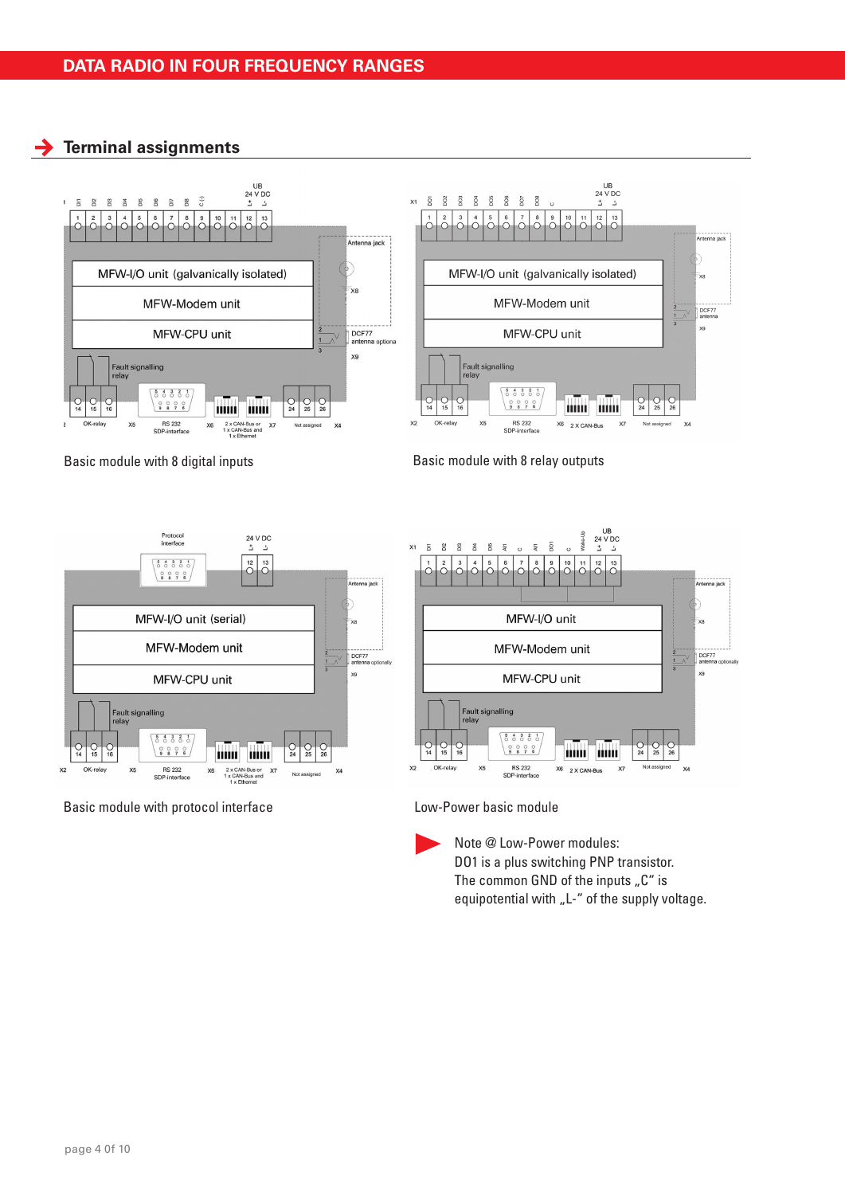**Terminal assignments**









Basic module with protocol interface Low-Power basic module



Note @ Low-Power modules: DO1 is a plus switching PNP transistor. The common GND of the inputs  $\mathcal{L}$ " is equipotential with "L-" of the supply voltage.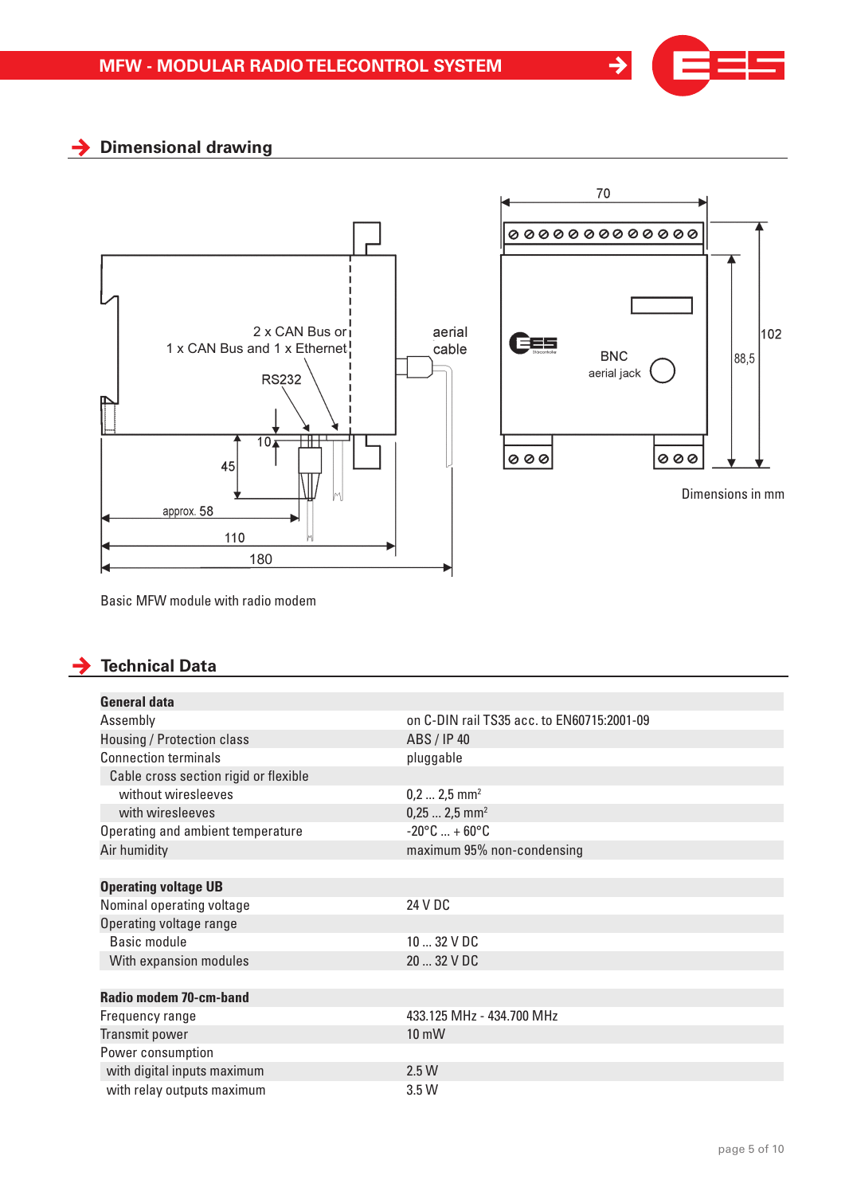

 $\rightarrow$ 

# **Dimensional drawing**



Basic MFW module with radio modem

# **Technical Data**

| <b>General data</b>                   |                                            |
|---------------------------------------|--------------------------------------------|
| Assembly                              | on C-DIN rail TS35 acc. to EN60715:2001-09 |
| Housing / Protection class            | ABS / IP 40                                |
| <b>Connection terminals</b>           | pluggable                                  |
| Cable cross section rigid or flexible |                                            |
| without wiresleeves                   | $0, 2  2, 5$ mm <sup>2</sup>               |
| with wiresleeves                      | $0,252,5$ mm <sup>2</sup>                  |
| Operating and ambient temperature     | $-20^{\circ}$ C  + 60 $^{\circ}$ C         |
| Air humidity                          | maximum 95% non-condensing                 |
|                                       |                                            |
| <b>Operating voltage UB</b>           |                                            |
| Nominal operating voltage             | 24 V DC                                    |
| Operating voltage range               |                                            |
| Basic module                          | $1032$ V DC                                |
| With expansion modules                | 20  32 V DC                                |
|                                       |                                            |
| Radio modem 70-cm-band                |                                            |
| Frequency range                       | 433.125 MHz - 434.700 MHz                  |
| Transmit power                        | $10 \text{ mW}$                            |
| Power consumption                     |                                            |
| with digital inputs maximum           | 2.5W                                       |
| with relay outputs maximum            | 3.5W                                       |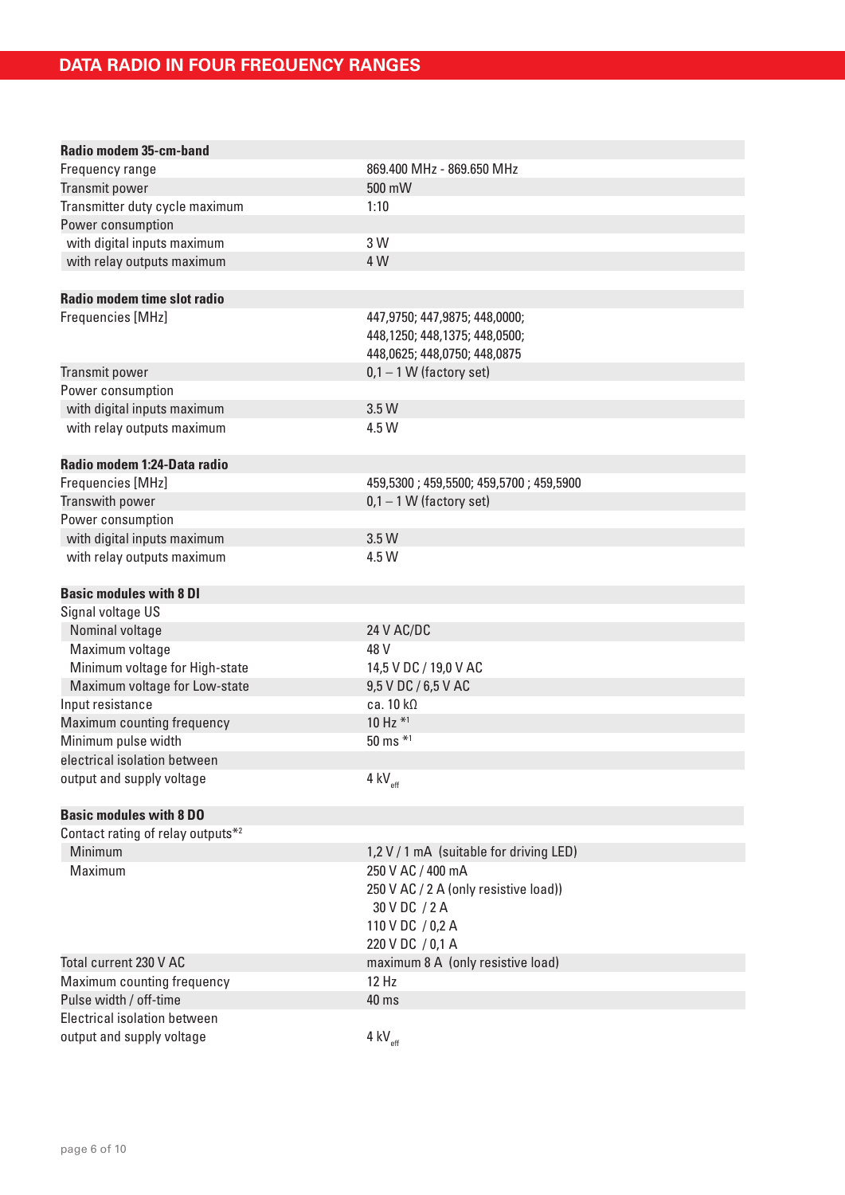| Radio modem 35-cm-band            |                                         |
|-----------------------------------|-----------------------------------------|
| Frequency range                   | 869.400 MHz - 869.650 MHz               |
| Transmit power                    | 500 mW                                  |
| Transmitter duty cycle maximum    | 1:10                                    |
| Power consumption                 |                                         |
| with digital inputs maximum       | 3 W                                     |
| with relay outputs maximum        | 4 W                                     |
|                                   |                                         |
| Radio modem time slot radio       |                                         |
| Frequencies [MHz]                 | 447,9750; 447,9875; 448,0000;           |
|                                   | 448,1250; 448,1375; 448,0500;           |
|                                   | 448,0625; 448,0750; 448,0875            |
| Transmit power                    | $0,1 - 1$ W (factory set)               |
| Power consumption                 |                                         |
| with digital inputs maximum       | 3.5 W                                   |
| with relay outputs maximum        | 4.5 W                                   |
|                                   |                                         |
| Radio modem 1:24-Data radio       |                                         |
| Frequencies [MHz]                 | 459,5300; 459,5500; 459,5700; 459,5900  |
| Transwith power                   | $0,1 - 1$ W (factory set)               |
| Power consumption                 |                                         |
| with digital inputs maximum       | 3.5 W                                   |
| with relay outputs maximum        | 4.5 W                                   |
|                                   |                                         |
| <b>Basic modules with 8 DI</b>    |                                         |
| Signal voltage US                 |                                         |
| Nominal voltage                   | 24 V AC/DC                              |
| Maximum voltage                   | 48 V                                    |
| Minimum voltage for High-state    | 14,5 V DC / 19,0 V AC                   |
| Maximum voltage for Low-state     | 9,5 V DC / 6,5 V AC                     |
| Input resistance                  | ca. $10 k\Omega$                        |
| Maximum counting frequency        | 10 Hz *1                                |
| Minimum pulse width               | 50 ms *1                                |
| electrical isolation between      |                                         |
| output and supply voltage         | $4$ kV <sub>eff</sub>                   |
|                                   |                                         |
| <b>Basic modules with 8 DO</b>    |                                         |
| Contact rating of relay outputs*2 |                                         |
| Minimum                           | 1,2 V / 1 mA (suitable for driving LED) |
| Maximum                           | 250 V AC / 400 mA                       |
|                                   | 250 V AC / 2 A (only resistive load))   |
|                                   | 30 V DC / 2 A                           |
|                                   | 110 V DC / 0,2 A                        |
|                                   | 220 V DC / 0,1 A                        |
| Total current 230 V AC            | maximum 8 A (only resistive load)       |
| Maximum counting frequency        | 12 Hz                                   |
| Pulse width / off-time            | 40 ms                                   |
| Electrical isolation between      |                                         |
| output and supply voltage         | 4 kV $_{\rm eff}$                       |
|                                   |                                         |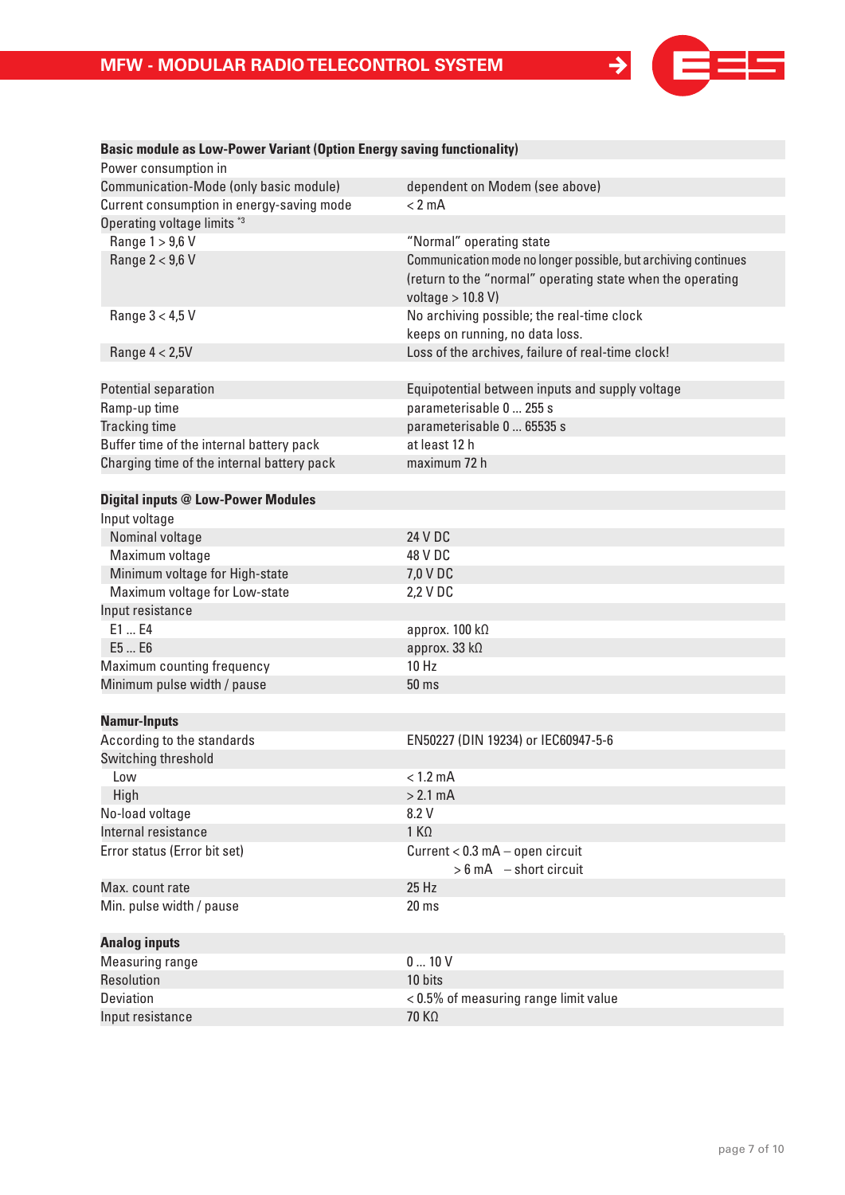

| Power consumption in                       |                                                                |
|--------------------------------------------|----------------------------------------------------------------|
| Communication-Mode (only basic module)     | dependent on Modem (see above)                                 |
| Current consumption in energy-saving mode  | $< 2$ mA                                                       |
| Operating voltage limits *3                |                                                                |
| Range 1 > 9,6 V                            | "Normal" operating state                                       |
| Range 2 < 9,6 V                            | Communication mode no longer possible, but archiving continues |
|                                            | (return to the "normal" operating state when the operating     |
|                                            | voltage $> 10.8$ V)                                            |
| Range 3 < 4,5 V                            | No archiving possible; the real-time clock                     |
|                                            | keeps on running, no data loss.                                |
| Range $4 < 2.5V$                           | Loss of the archives, failure of real-time clock!              |
|                                            |                                                                |
| Potential separation                       | Equipotential between inputs and supply voltage                |
| Ramp-up time                               | parameterisable 0  255 s                                       |
| Tracking time                              | parameterisable 0  65535 s                                     |
| Buffer time of the internal battery pack   | at least 12 h                                                  |
| Charging time of the internal battery pack | maximum 72 h                                                   |
|                                            |                                                                |
| <b>Digital inputs @ Low-Power Modules</b>  |                                                                |
| Input voltage                              |                                                                |
| Nominal voltage                            | 24 V DC                                                        |
| Maximum voltage                            | 48 V DC                                                        |
| Minimum voltage for High-state             | 7,0 V DC                                                       |
| Maximum voltage for Low-state              | 2,2 V DC                                                       |
| Input resistance                           |                                                                |
| E1  E4                                     | approx. 100 kΩ                                                 |
| E5  E6                                     | approx. 33 kΩ                                                  |
| Maximum counting frequency                 | 10 Hz                                                          |
| Minimum pulse width / pause                | 50 ms                                                          |
|                                            |                                                                |
| <b>Namur-Inputs</b>                        |                                                                |
| According to the standards                 | EN50227 (DIN 19234) or IEC60947-5-6                            |
| Switching threshold                        |                                                                |
| Low                                        | $< 1.2$ mA                                                     |
| High                                       | $> 2.1$ mA                                                     |
| No-load voltage                            | 8.2 V                                                          |
| Internal resistance                        | $1 K\Omega$                                                    |
| Error status (Error bit set)               | Current < 0.3 mA - open circuit                                |
|                                            | $> 6$ mA $-$ short circuit                                     |
| Max. count rate                            | 25 Hz                                                          |
| Min. pulse width / pause                   | 20 <sub>ms</sub>                                               |
|                                            |                                                                |
| <b>Analog inputs</b>                       |                                                                |
| Measuring range                            | 010V                                                           |
| Resolution                                 | 10 bits                                                        |
| <b>Deviation</b>                           | < 0.5% of measuring range limit value                          |
| Input resistance                           | 70 KΩ                                                          |

# **Basic module as Low-Power Variant (Option Energy saving functionality)**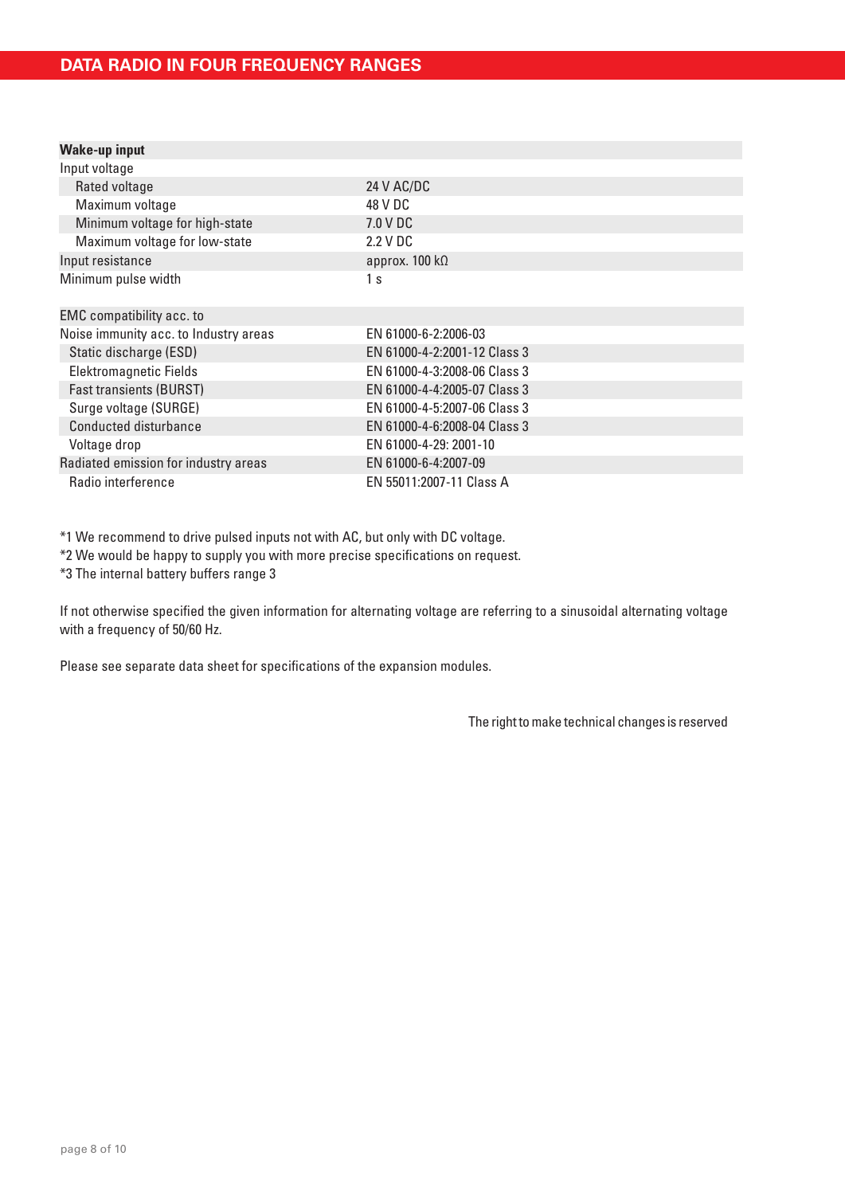| <b>Wake-up input</b>                  |                               |
|---------------------------------------|-------------------------------|
| Input voltage                         |                               |
| Rated voltage                         | 24 V AC/DC                    |
| Maximum voltage                       | 48 V DC                       |
| Minimum voltage for high-state        | 7.0 V DC                      |
| Maximum voltage for low-state         | 2.2 V DC                      |
| Input resistance                      | approx. $100 \text{ k}\Omega$ |
| Minimum pulse width                   | 1 <sub>s</sub>                |
| <b>EMC</b> compatibility acc. to      |                               |
| Noise immunity acc. to Industry areas | EN 61000-6-2:2006-03          |
| Static discharge (ESD)                | EN 61000-4-2:2001-12 Class 3  |
| Elektromagnetic Fields                | EN 61000-4-3:2008-06 Class 3  |
| <b>Fast transients (BURST)</b>        | EN 61000-4-4:2005-07 Class 3  |
| Surge voltage (SURGE)                 | EN 61000-4-5:2007-06 Class 3  |
| Conducted disturbance                 | EN 61000-4-6:2008-04 Class 3  |
| Voltage drop                          | EN 61000-4-29: 2001-10        |
| Radiated emission for industry areas  | EN 61000-6-4:2007-09          |
| Radio interference                    | EN 55011:2007-11 Class A      |

\*1 We recommend to drive pulsed inputs not with AC, but only with DC voltage.

\*2 We would be happy to supply you with more precise specifications on request.

\*3 The internal battery buffers range 3

If not otherwise specified the given information for alternating voltage are referring to a sinusoidal alternating voltage with a frequency of 50/60 Hz.

Please see separate data sheet for specifications of the expansion modules.

The right to make technical changes is reserved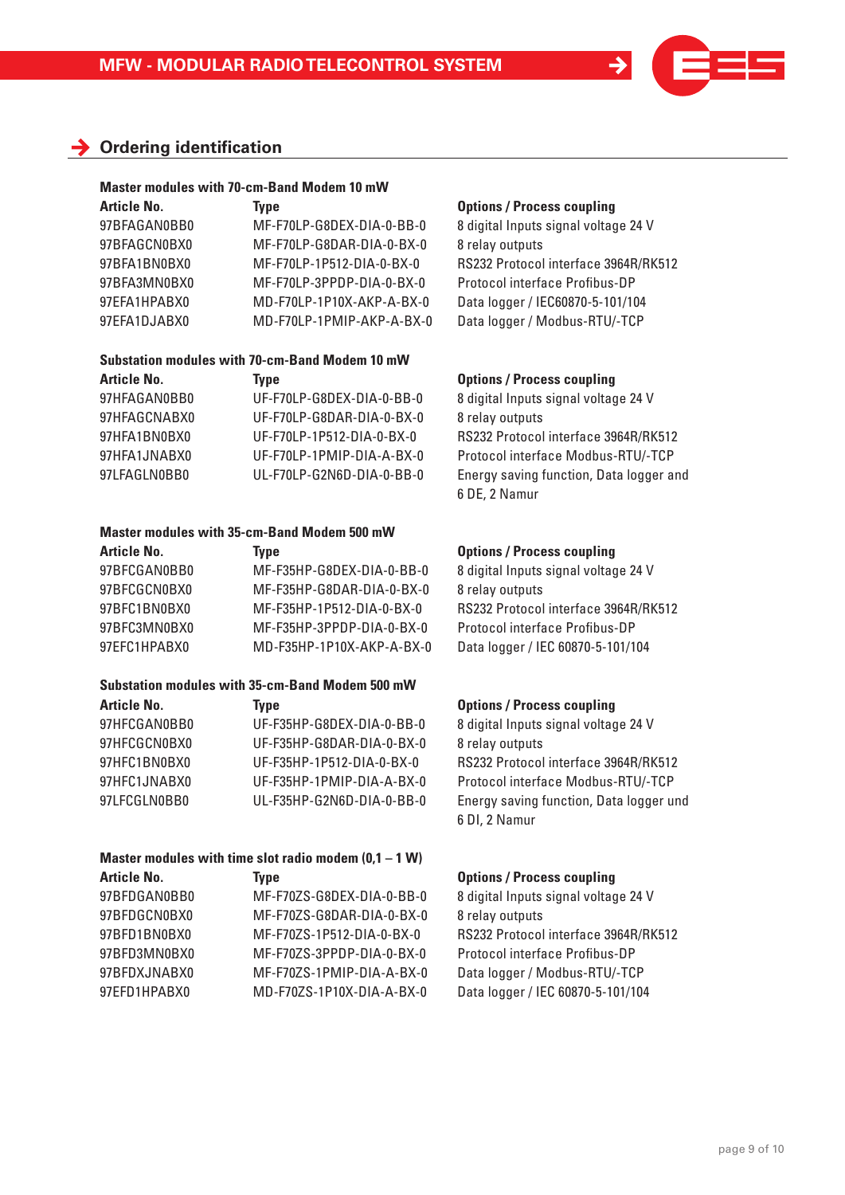# **Ordering identification**

### **Master modules with 70-cm-Band Modem 10 mW**

| <b>Article No.</b> | Type                      |
|--------------------|---------------------------|
| 97BFAGAN0BB0       | MF-F70LP-G8DEX-DIA-0-BB-0 |
| 97BFAGCN0BX0       | MF-F70LP-G8DAR-DIA-0-BX-0 |
| 97BFA1BN0BX0       | MF-F70LP-1P512-DIA-0-BX-0 |
| 97BFA3MN0BX0       | MF-F70LP-3PPDP-DIA-0-BX-0 |
| 97EFA1HPABX0       | MD-F70LP-1P10X-AKP-A-BX-0 |
| 97EFA1DJABX0       | MD-F70LP-1PMIP-AKP-A-BX-0 |
|                    |                           |

# **Substation modules with 70-cm-Band Modem 10 mW**

| <b>Article No.</b> | Tvpe                      | <b>Options / Process coupling</b> |
|--------------------|---------------------------|-----------------------------------|
| 97HFAGAN0BB0       | UF-F70LP-G8DEX-DIA-0-BB-0 | 8 digital Inputs signal voltage   |
| 97HFAGCNABX0       | UF-F70LP-G8DAR-DIA-0-BX-0 | 8 relay outputs                   |
| 97HFA1BN0BX0       | UF-F70LP-1P512-DIA-0-BX-0 | RS232 Protocol interface 39       |
| 97HFA1JNABX0       | UF-F70LP-1PMIP-DIA-A-BX-0 | Protocol interface Modbus-        |
| 97LFAGLN0BB0       | UL-F70LP-G2N6D-DIA-0-BB-0 | Energy saving function, Dat       |

# **Master modules with 35-cm-Band Modem 500 mW**

| <b>Article No.</b> | Tvpe                      | <b>Options / Process coupling</b> |
|--------------------|---------------------------|-----------------------------------|
| 97BFCGAN0BB0       | MF-F35HP-G8DEX-DIA-0-BB-0 | 8 digital Inputs signal voltag    |
| 97BFCGCN0BX0       | MF-F35HP-G8DAR-DIA-0-BX-0 | 8 relay outputs                   |
| 97BFC1BN0BX0       | MF-F35HP-1P512-DIA-0-BX-0 | RS232 Protocol interface 39       |
| 97BFC3MN0BX0       | MF-F35HP-3PPDP-DIA-0-BX-0 | Protocol interface Profibus-      |
| 97EFC1HPABX0       | MD-F35HP-1P10X-AKP-A-BX-0 | Data logger / IEC 60870-5-10      |

### **Substation modules with 35-cm-Band Modem 500 mW**  Article No. **Type Contains Figure 1**

| AILICIE NU.  | <b>iype</b>               |
|--------------|---------------------------|
| 97HFCGAN0BB0 | UF-F35HP-G8DEX-DIA-0-BB-0 |
| 97HFCGCN0BX0 | UF-F35HP-G8DAR-DIA-0-BX-0 |
| 97HFC1BN0BX0 | UF-F35HP-1P512-DIA-0-BX-0 |
| 97HFC1JNABX0 | UF-F35HP-1PMIP-DIA-A-BX-0 |
| 97LFCGLN0BB0 | UL-F35HP-G2N6D-DIA-0-BB-0 |
|              |                           |

# **Master modules with time slot radio modem (0,1 – 1 W)**

| 97BFDGAN0BB0 | MF-F70ZS-G8DEX-DIA-0-BB-0 |
|--------------|---------------------------|
| 97BFDGCN0BX0 | MF-F70ZS-G8DAR-DIA-0-BX-0 |
| 97BFD1BN0BX0 | MF-F70ZS-1P512-DIA-0-BX-0 |
| 97BFD3MN0BX0 | MF-F70ZS-3PPDP-DIA-0-BX-0 |
| 97BFDXJNABX0 | MF-F70ZS-1PMIP-DIA-A-BX-0 |
| 97EFD1HPABX0 | MD-F70ZS-1P10X-DIA-A-BX-0 |
|              |                           |

### **Article Options / Process coupling**

8 digital Inputs signal voltage 24 V 8 relay outputs RS232 Protocol interface 3964R/RK512 Protocol interface Profibus-DP Data logger / IEC60870-5-101/104 Data logger / Modbus-RTU/-TCP

8 digital Inputs signal voltage 24 V 8 relay outputs RS232 Protocol interface 3964R/RK512 Protocol interface Modbus-RTU/-TCP Energy saving function, Data logger and 6 DE, 2 Namur

8 digital Inputs signal voltage 24 V 8 relay outputs RS232 Protocol interface 3964R/RK512 Protocol interface Profibus-DP Data logger / IEC 60870-5-101/104

8 digital Inputs signal voltage 24 V 8 relay outputs BS232 Protocol interface 3964R/RK512 Protocol interface Modbus-RTU/-TCP Energy saving function, Data logger und 6 DI, 2 Namur

# Article No. **Type CONS** Type **Options / Process coupling**

8 digital Inputs signal voltage 24 V 8 relay outputs RS232 Protocol interface 3964R/RK512 Protocol interface Profibus-DP Data logger / Modbus-RTU/-TCP Data logger / IEC 60870-5-101/104